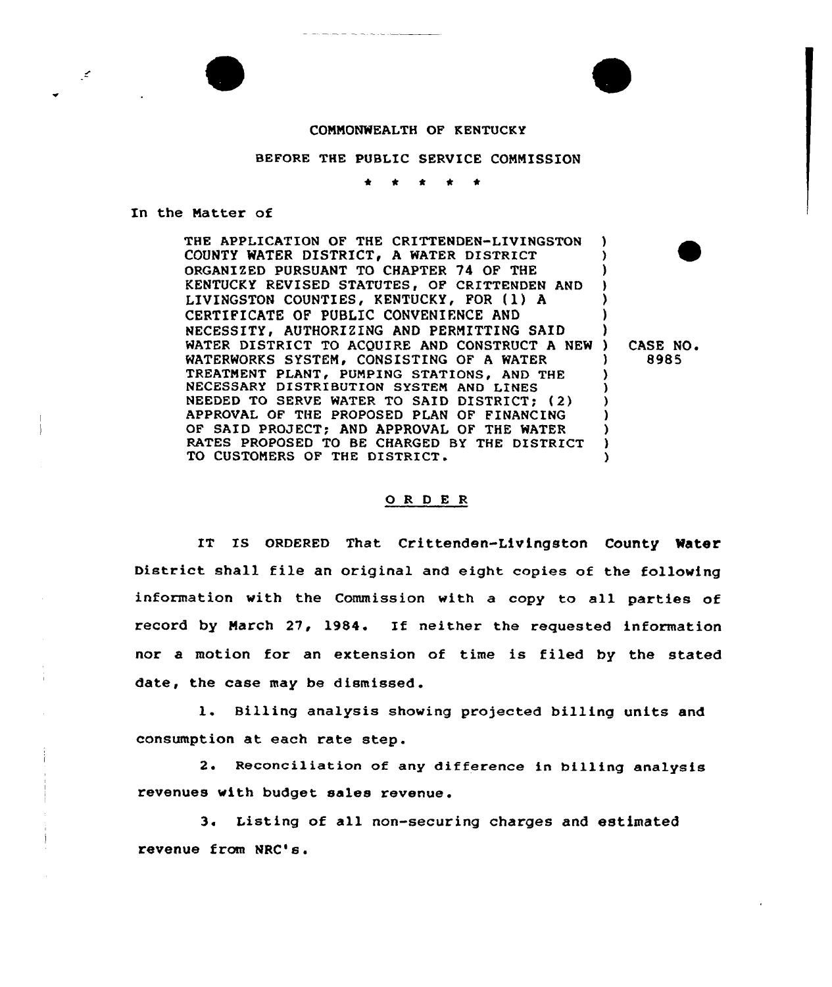## COMMONWEALTH OF KENTUCKY

## BEFORE THE PUBLIC SERVICE COMMISSION

\* 0 \* \* \*

## In the Natter of

∫≰

THE APPLICATION OF THE CRITTENDEN-LIVINGSTON COUNTY WATER DISTRICT, A WATER DISTRICT ORGANIZED PURSUANT TO CHAPTER 74 OF THE KENTUCKY REVISED STATUTES, OF CRITTENDEN AND LIVINGSTON COUNTIES, KENTUCKY, FOR (1) A CERTIFICATE OF PUBLIC CONVENIENCE AND NECESSITY, AUTHORIZING AND PERMITTING SAID WATER DISTRICT TO ACQUIRE AND CONSTRUCT A NEW WATERWORKS SYSTEM, CONSISTING OF A WATER TREATMENT PLANT, PUMPING STATIONS, AND THE NECESSARY DISTRIBUTION SYSTEN AND LINES NEEDED TO SERVE WATER TO SAID DISTRICT; (2) APPROVAL OF THE PROPOSED PLAN OF FINANCING OF SAID PROJECT; AND APPROVAL OF THE WATER RATES PROPOSED TO BE CHARGED BY THE DISTRICT TO CUSTOMERS OF THE DISTRICT. ) ) ) ) ) ) ) ) CASE NO. ) 8985 ) ) ) ) ) ) )

## 0 <sup>R</sup> <sup>D</sup> E <sup>R</sup>

IT IS ORDERED That Crittenden-Livingston County Water District shall file an original and eight copies of the following information with the Commission with a copy to all parties of record by March 27, 1984. If neither the requested information nor a motion for an extension of time is filed by the stated date, the case may be dismissed .

1. Billing analysis showing projected billing units and consumption at each rate step.

2. Reconciliation of any difference in billing analysis revenues with budget sales revenue.

3. Listing of all non-securing charges and estimated revenue from NRC's.